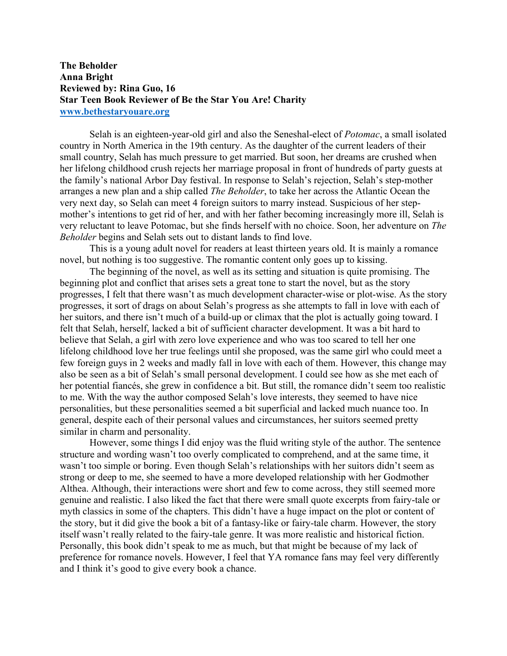## **The Beholder Anna Bright Reviewed by: Rina Guo, 16 Star Teen Book Reviewer of Be the Star You Are! Charity www.bethestaryouare.org**

Selah is an eighteen-year-old girl and also the Seneshal-elect of *Potomac*, a small isolated country in North America in the 19th century. As the daughter of the current leaders of their small country, Selah has much pressure to get married. But soon, her dreams are crushed when her lifelong childhood crush rejects her marriage proposal in front of hundreds of party guests at the family's national Arbor Day festival. In response to Selah's rejection, Selah's step-mother arranges a new plan and a ship called *The Beholder*, to take her across the Atlantic Ocean the very next day, so Selah can meet 4 foreign suitors to marry instead. Suspicious of her stepmother's intentions to get rid of her, and with her father becoming increasingly more ill, Selah is very reluctant to leave Potomac, but she finds herself with no choice. Soon, her adventure on *The Beholder* begins and Selah sets out to distant lands to find love.

This is a young adult novel for readers at least thirteen years old. It is mainly a romance novel, but nothing is too suggestive. The romantic content only goes up to kissing.

The beginning of the novel, as well as its setting and situation is quite promising. The beginning plot and conflict that arises sets a great tone to start the novel, but as the story progresses, I felt that there wasn't as much development character-wise or plot-wise. As the story progresses, it sort of drags on about Selah's progress as she attempts to fall in love with each of her suitors, and there isn't much of a build-up or climax that the plot is actually going toward. I felt that Selah, herself, lacked a bit of sufficient character development. It was a bit hard to believe that Selah, a girl with zero love experience and who was too scared to tell her one lifelong childhood love her true feelings until she proposed, was the same girl who could meet a few foreign guys in 2 weeks and madly fall in love with each of them. However, this change may also be seen as a bit of Selah's small personal development. I could see how as she met each of her potential fiancés, she grew in confidence a bit. But still, the romance didn't seem too realistic to me. With the way the author composed Selah's love interests, they seemed to have nice personalities, but these personalities seemed a bit superficial and lacked much nuance too. In general, despite each of their personal values and circumstances, her suitors seemed pretty similar in charm and personality.

However, some things I did enjoy was the fluid writing style of the author. The sentence structure and wording wasn't too overly complicated to comprehend, and at the same time, it wasn't too simple or boring. Even though Selah's relationships with her suitors didn't seem as strong or deep to me, she seemed to have a more developed relationship with her Godmother Althea. Although, their interactions were short and few to come across, they still seemed more genuine and realistic. I also liked the fact that there were small quote excerpts from fairy-tale or myth classics in some of the chapters. This didn't have a huge impact on the plot or content of the story, but it did give the book a bit of a fantasy-like or fairy-tale charm. However, the story itself wasn't really related to the fairy-tale genre. It was more realistic and historical fiction. Personally, this book didn't speak to me as much, but that might be because of my lack of preference for romance novels. However, I feel that YA romance fans may feel very differently and I think it's good to give every book a chance.